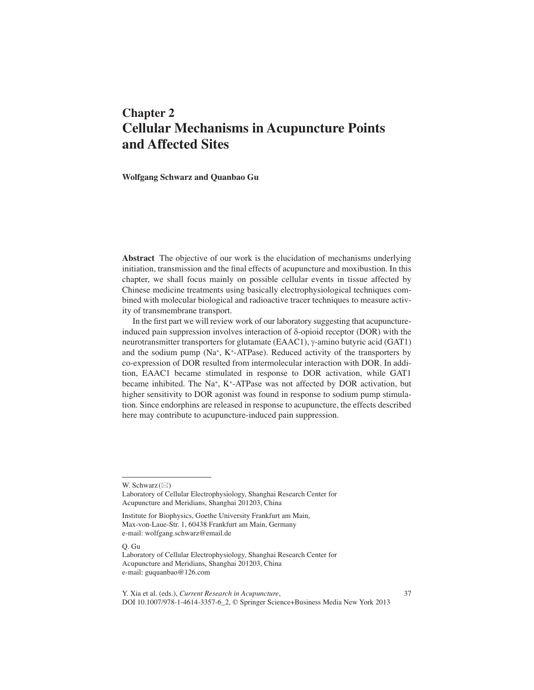# **Chapter 2 Cellular Mechanisms in Acupuncture Points and Affected Sites**

 **Wolfgang Schwarz and Quanbao Gu** 

 **Abstract** The objective of our work is the elucidation of mechanisms underlying initiation, transmission and the final effects of acupuncture and moxibustion. In this chapter, we shall focus mainly on possible cellular events in tissue affected by Chinese medicine treatments using basically electrophysiological techniques combined with molecular biological and radioactive tracer techniques to measure activity of transmembrane transport.

In the first part we will review work of our laboratory suggesting that acupunctureinduced pain suppression involves interaction of  $\delta$ -opioid receptor (DOR) with the neurotransmitter transporters for glutamate (EAAC1),  $\gamma$ -amino butyric acid (GAT1) and the sodium pump ( $Na^{+}$ , K<sup>+</sup>-ATPase). Reduced activity of the transporters by co-expression of DOR resulted from intermolecular interaction with DOR. In addition, EAAC1 became stimulated in response to DOR activation, while GAT1 became inhibited. The Na<sup>+</sup>, K<sup>+</sup>-ATPase was not affected by DOR activation, but higher sensitivity to DOR agonist was found in response to sodium pump stimulation. Since endorphins are released in response to acupuncture, the effects described here may contribute to acupuncture-induced pain suppression.

Q. Gu

W. Schwarz $(\boxtimes)$ 

Laboratory of Cellular Electrophysiology , Shanghai Research Center for Acupuncture and Meridians, Shanghai 201203, China

Institute for Biophysics, Goethe University Frankfurt am Main, Max-von-Laue-Str. 1, 60438 Frankfurt am Main, Germany e-mail: wolfgang.schwarz@email.de

Laboratory of Cellular Electrophysiology , Shanghai Research Center for Acupuncture and Meridians, Shanghai 201203, China e-mail: guquanbao@126.com

Y. Xia et al. (eds.), *Current Research in Acupuncture*, 37 DOI 10.1007/978-1-4614-3357-6\_2, © Springer Science+Business Media New York 2013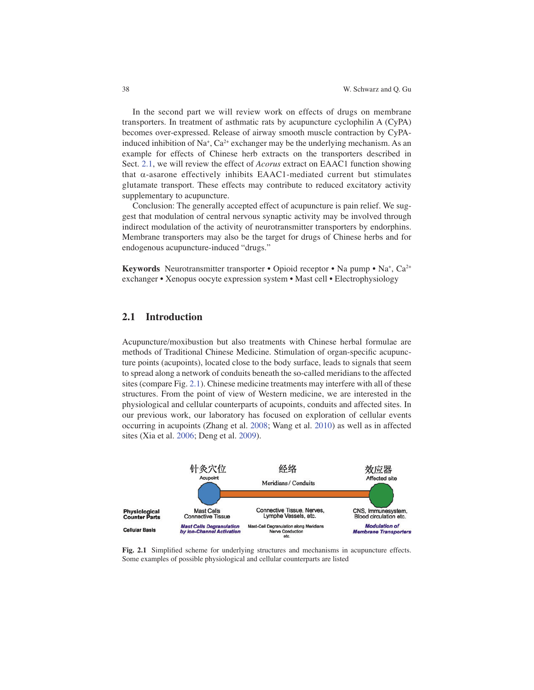In the second part we will review work on effects of drugs on membrane transporters. In treatment of asthmatic rats by acupuncture cyclophilin A (CyPA) becomes over-expressed. Release of airway smooth muscle contraction by CyPAinduced inhibition of Na<sup>+</sup>, Ca<sup>2+</sup> exchanger may be the underlying mechanism. As an example for effects of Chinese herb extracts on the transporters described in Sect. 2.1 , we will review the effect of *Acorus* extract on EAAC1 function showing that  $\alpha$ -asarone effectively inhibits EAAC1-mediated current but stimulates glutamate transport. These effects may contribute to reduced excitatory activity supplementary to acupuncture.

 Conclusion: The generally accepted effect of acupuncture is pain relief. We suggest that modulation of central nervous synaptic activity may be involved through indirect modulation of the activity of neurotransmitter transporters by endorphins. Membrane transporters may also be the target for drugs of Chinese herbs and for endogenous acupuncture-induced "drugs."

**Keywords** Neurotransmitter transporter • Opioid receptor • Na pump • Na<sup>+</sup>, Ca<sup>2+</sup> exchanger • Xenopus oocyte expression system • Mast cell • Electrophysiology

#### **2.1 Introduction**

 Acupuncture/moxibustion but also treatments with Chinese herbal formulae are methods of Traditional Chinese Medicine. Stimulation of organ-specific acupuncture points (acupoints), located close to the body surface, leads to signals that seem to spread along a network of conduits beneath the so-called meridians to the affected sites (compare Fig. 2.1 ). Chinese medicine treatments may interfere with all of these structures. From the point of view of Western medicine, we are interested in the physiological and cellular counterparts of acupoints, conduits and affected sites. In our previous work, our laboratory has focused on exploration of cellular events occurring in acupoints (Zhang et al. 2008 ; Wang et al. 2010 ) as well as in affected sites (Xia et al. 2006; Deng et al. 2009).



Fig. 2.1 Simplified scheme for underlying structures and mechanisms in acupuncture effects. Some examples of possible physiological and cellular counterparts are listed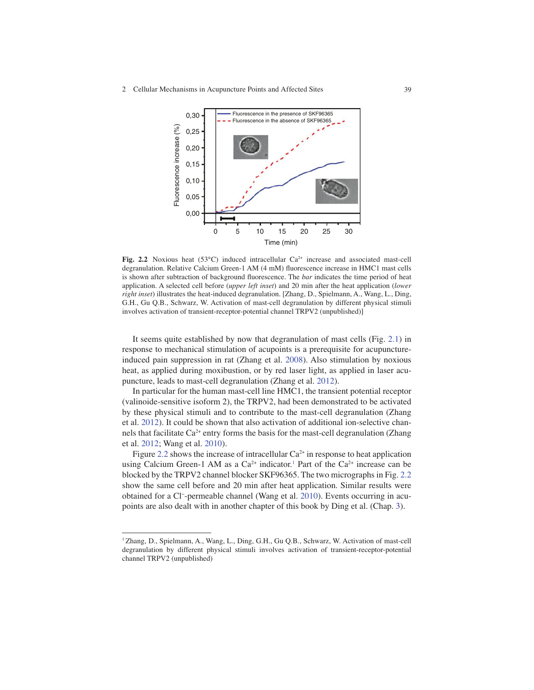

Fig. 2.2 Noxious heat (53°C) induced intracellular Ca<sup>2+</sup> increase and associated mast-cell degranulation. Relative Calcium Green-1 AM (4 mM) fluorescence increase in HMC1 mast cells is shown after subtraction of background fluorescence. The *bar* indicates the time period of heat application. A selected cell before (*upper left inset*) and 20 min after the heat application (*lower right inset* ) illustrates the heat-induced degranulation. [Zhang, D., Spielmann, A., Wang, L., Ding, G.H., Gu Q.B., Schwarz, W. Activation of mast-cell degranulation by different physical stimuli involves activation of transient-receptor-potential channel TRPV2 (unpublished)]

It seems quite established by now that degranulation of mast cells (Fig. 2.1) in response to mechanical stimulation of acupoints is a prerequisite for acupunctureinduced pain suppression in rat (Zhang et al. 2008). Also stimulation by noxious heat, as applied during moxibustion, or by red laser light, as applied in laser acupuncture, leads to mast-cell degranulation (Zhang et al. 2012).

 In particular for the human mast-cell line HMC1, the transient potential receptor (valinoide-sensitive isoform 2), the TRPV2, had been demonstrated to be activated by these physical stimuli and to contribute to the mast-cell degranulation (Zhang et al. 2012 ) . It could be shown that also activation of additional ion-selective channels that facilitate  $Ca^{2+}$  entry forms the basis for the mast-cell degranulation (Zhang et al. 2012; Wang et al. 2010).

Figure 2.2 shows the increase of intracellular  $Ca^{2+}$  in response to heat application using Calcium Green-1 AM as a  $Ca^{2+}$  indicator.<sup>1</sup> Part of the  $Ca^{2+}$  increase can be blocked by the TRPV2 channel blocker SKF96365. The two micrographs in Fig. 2.2 show the same cell before and 20 min after heat application. Similar results were obtained for a Cl<sup>-</sup>-permeable channel (Wang et al. 2010). Events occurring in acupoints are also dealt with in another chapter of this book by Ding et al. (Chap. 3).

<sup>&</sup>lt;sup>1</sup> Zhang, D., Spielmann, A., Wang, L., Ding, G.H., Gu Q.B., Schwarz, W. Activation of mast-cell degranulation by different physical stimuli involves activation of transient-receptor-potential channel TRPV2 (unpublished)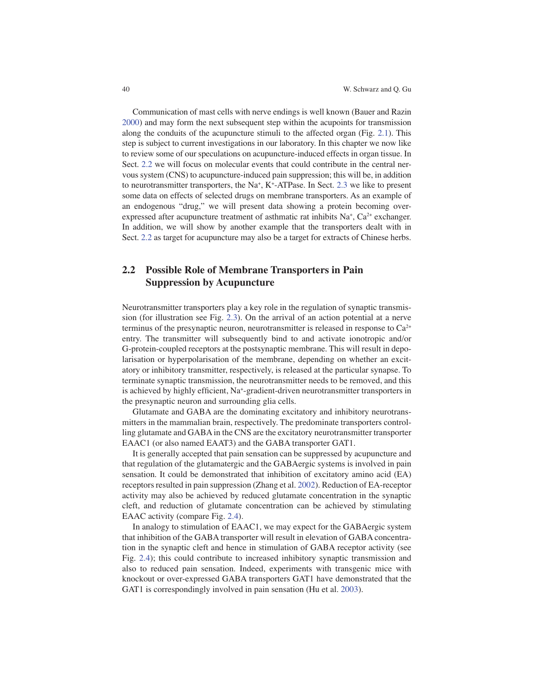Communication of mast cells with nerve endings is well known (Bauer and Razin 2000 ) and may form the next subsequent step within the acupoints for transmission along the conduits of the acupuncture stimuli to the affected organ (Fig. 2.1 ). This step is subject to current investigations in our laboratory. In this chapter we now like to review some of our speculations on acupuncture-induced effects in organ tissue. In Sect. 2.2 we will focus on molecular events that could contribute in the central nervous system (CNS) to acupuncture-induced pain suppression; this will be, in addition to neurotransmitter transporters, the Na<sup>+</sup>, K<sup>+</sup>-ATPase. In Sect. 2.3 we like to present some data on effects of selected drugs on membrane transporters. As an example of an endogenous "drug," we will present data showing a protein becoming overexpressed after acupuncture treatment of asthmatic rat inhibits  $Na<sup>+</sup>, Ca<sup>2+</sup>$  exchanger. In addition, we will show by another example that the transporters dealt with in Sect. 2.2 as target for acupuncture may also be a target for extracts of Chinese herbs.

## **2.2 Possible Role of Membrane Transporters in Pain Suppression by Acupuncture**

 Neurotransmitter transporters play a key role in the regulation of synaptic transmission (for illustration see Fig. 2.3 ). On the arrival of an action potential at a nerve terminus of the presynaptic neuron, neurotransmitter is released in response to  $Ca^{2+}$ entry. The transmitter will subsequently bind to and activate ionotropic and/or G-protein-coupled receptors at the postsynaptic membrane. This will result in depolarisation or hyperpolarisation of the membrane, depending on whether an excitatory or inhibitory transmitter, respectively, is released at the particular synapse. To terminate synaptic transmission, the neurotransmitter needs to be removed, and this is achieved by highly efficient, Na<sup>+</sup>-gradient-driven neurotransmitter transporters in the presynaptic neuron and surrounding glia cells.

 Glutamate and GABA are the dominating excitatory and inhibitory neurotransmitters in the mammalian brain, respectively. The predominate transporters controlling glutamate and GABA in the CNS are the excitatory neurotransmitter transporter EAAC1 (or also named EAAT3) and the GABA transporter GAT1.

 It is generally accepted that pain sensation can be suppressed by acupuncture and that regulation of the glutamatergic and the GABAergic systems is involved in pain sensation. It could be demonstrated that inhibition of excitatory amino acid (EA) receptors resulted in pain suppression (Zhang et al. 2002 ) . Reduction of EA-receptor activity may also be achieved by reduced glutamate concentration in the synaptic cleft, and reduction of glutamate concentration can be achieved by stimulating EAAC activity (compare Fig. 2.4).

 In analogy to stimulation of EAAC1, we may expect for the GABAergic system that inhibition of the GABA transporter will result in elevation of GABA concentration in the synaptic cleft and hence in stimulation of GABA receptor activity (see Fig. 2.4 ); this could contribute to increased inhibitory synaptic transmission and also to reduced pain sensation. Indeed, experiments with transgenic mice with knockout or over-expressed GABA transporters GAT1 have demonstrated that the GAT1 is correspondingly involved in pain sensation (Hu et al. 2003).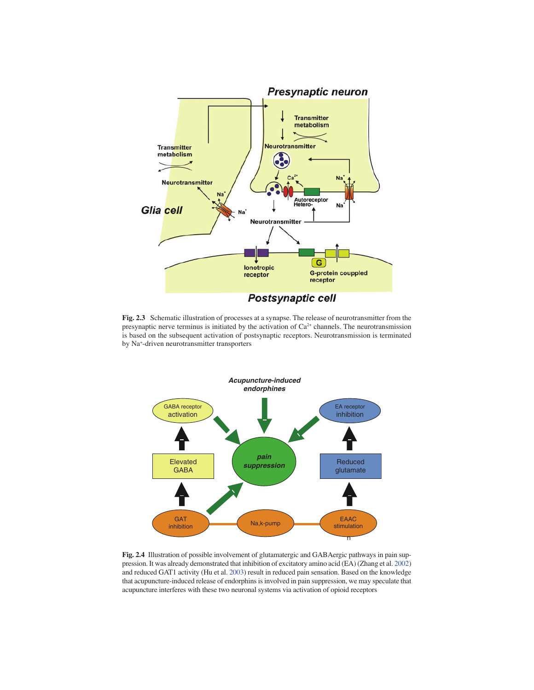

 **Fig. 2.3** Schematic illustration of processes at a synapse. The release of neurotransmitter from the presynaptic nerve terminus is initiated by the activation of  $Ca<sup>2+</sup>$  channels. The neurotransmission is based on the subsequent activation of postsynaptic receptors. Neurotransmission is terminated by Na<sup>+</sup>-driven neurotransmitter transporters



 **Fig. 2.4** Illustration of possible involvement of glutamatergic and GABAergic pathways in pain suppression. It was already demonstrated that inhibition of excitatory amino acid (EA) (Zhang et al. 2002 ) and reduced GAT1 activity (Hu et al. 2003 ) result in reduced pain sensation. Based on the knowledge that acupuncture-induced release of endorphins is involved in pain suppression, we may speculate that acupuncture interferes with these two neuronal systems via activation of opioid receptors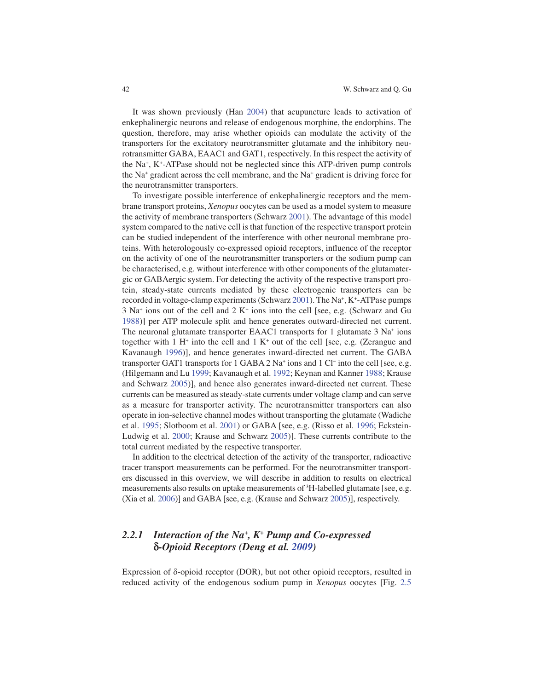It was shown previously (Han 2004) that acupuncture leads to activation of enkephalinergic neurons and release of endogenous morphine, the endorphins. The question, therefore, may arise whether opioids can modulate the activity of the transporters for the excitatory neurotransmitter glutamate and the inhibitory neurotransmitter GABA, EAAC1 and GAT1, respectively. In this respect the activity of the Na<sup>+</sup>, K<sup>+</sup>-ATPase should not be neglected since this ATP-driven pump controls the Na<sup>+</sup> gradient across the cell membrane, and the Na<sup>+</sup> gradient is driving force for the neurotransmitter transporters.

 To investigate possible interference of enkephalinergic receptors and the membrane transport proteins, *Xenopus* oocytes can be used as a model system to measure the activity of membrane transporters (Schwarz 2001). The advantage of this model system compared to the native cell is that function of the respective transport protein can be studied independent of the interference with other neuronal membrane proteins. With heterologously co-expressed opioid receptors, influence of the receptor on the activity of one of the neurotransmitter transporters or the sodium pump can be characterised, e.g. without interference with other components of the glutamatergic or GABAergic system. For detecting the activity of the respective transport protein, steady-state currents mediated by these electrogenic transporters can be recorded in voltage-clamp experiments (Schwarz 2001). The Na<sup>+</sup>, K<sup>+</sup>-ATPase pumps  $3$  Na<sup>+</sup> ions out of the cell and  $2$  K<sup>+</sup> ions into the cell [see, e.g. (Schwarz and Gu 1988)] per ATP molecule split and hence generates outward-directed net current. The neuronal glutamate transporter EAAC1 transports for 1 glutamate  $3 \text{ Na}^+$  ions together with  $1 H<sup>+</sup>$  into the cell and  $1 K<sup>+</sup>$  out of the cell [see, e.g. (Zerangue and Kavanaugh 1996)], and hence generates inward-directed net current. The GABA transporter GAT1 transports for  $1$  GABA  $2$  Na<sup>+</sup> ions and  $1$  Cl<sup>-</sup> into the cell [see, e.g. (Hilgemann and Lu 1999; Kavanaugh et al. 1992; Keynan and Kanner 1988; Krause and Schwarz 2005)], and hence also generates inward-directed net current. These currents can be measured as steady-state currents under voltage clamp and can serve as a measure for transporter activity. The neurotransmitter transporters can also operate in ion-selective channel modes without transporting the glutamate (Wadiche et al. 1995; Slotboom et al. 2001) or GABA [see, e.g. (Risso et al. 1996; Eckstein-Ludwig et al. 2000; Krause and Schwarz 2005)]. These currents contribute to the total current mediated by the respective transporter.

 In addition to the electrical detection of the activity of the transporter, radioactive tracer transport measurements can be performed. For the neurotransmitter transporters discussed in this overview, we will describe in addition to results on electrical measurements also results on uptake measurements of  ${}^{3}H$ -labelled glutamate [see, e.g. (Xia et al. 2006)] and GABA [see, e.g. (Krause and Schwarz 2005)], respectively.

## 2.2.1 Interaction of the Na<sup>+</sup>, K<sup>+</sup> Pump and Co-expressed **d** *-Opioid Receptors (Deng et al. 2009 )*

Expression of  $\delta$ -opioid receptor (DOR), but not other opioid receptors, resulted in reduced activity of the endogenous sodium pump in *Xenopus* oocytes [Fig. 2.5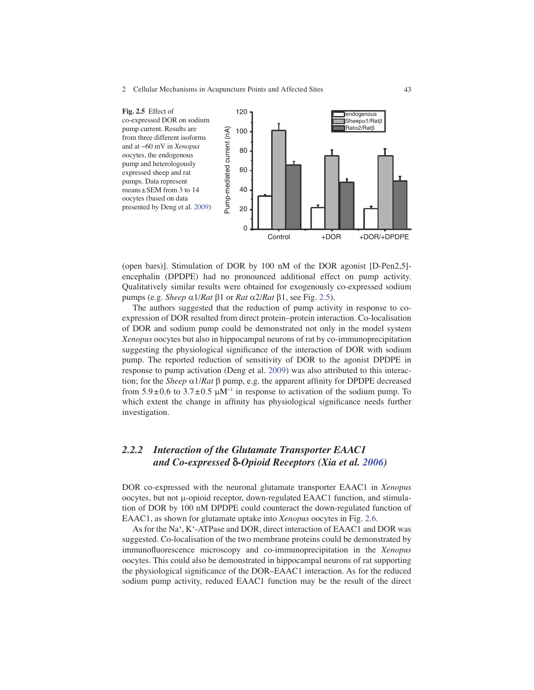

(open bars)]. Stimulation of DOR by 100 nM of the DOR agonist [D-Pen2,5] encephalin (DPDPE) had no pronounced additional effect on pump activity. Qualitatively similar results were obtained for exogenously co-expressed sodium pumps (e.g. *Sheep*  $\alpha$ 1/*Rat*  $\beta$ 1 or *Rat*  $\alpha$ 2/*Rat*  $\beta$ 1, see Fig. 2.5).

 The authors suggested that the reduction of pump activity in response to coexpression of DOR resulted from direct protein–protein interaction. Co-localisation of DOR and sodium pump could be demonstrated not only in the model system *Xenopus* oocytes but also in hippocampal neurons of rat by co-immunoprecipitation suggesting the physiological significance of the interaction of DOR with sodium pump. The reported reduction of sensitivity of DOR to the agonist DPDPE in response to pump activation (Deng et al. 2009 ) was also attributed to this interaction; for the *Sheep*  $\alpha$ 1/*Rat*  $\beta$  pump, e.g. the apparent affinity for DPDPE decreased from  $5.9 \pm 0.6$  to  $3.7 \pm 0.5$   $\mu$ M<sup>-1</sup> in response to activation of the sodium pump. To which extent the change in affinity has physiological significance needs further investigation.

# *2.2.2 Interaction of the Glutamate Transporter EAAC1 and Co-expressed* **d** *-Opioid Receptors (Xia et al. 2006 )*

 DOR co-expressed with the neuronal glutamate transporter EAAC1 in *Xenopus*  $oocytes$ , but not  $\mu$ -opioid receptor, down-regulated EAAC1 function, and stimulation of DOR by 100 nM DPDPE could counteract the down-regulated function of EAAC1, as shown for glutamate uptake into *Xenopus* oocytes in Fig. 2.6 .

As for the Na<sup>+</sup>, K<sup>+</sup>-ATPase and DOR, direct interaction of EAAC1 and DOR was suggested. Co-localisation of the two membrane proteins could be demonstrated by immunofluorescence microscopy and co-immunoprecipitation in the *Xenopus* oocytes. This could also be demonstrated in hippocampal neurons of rat supporting the physiological significance of the DOR–EAAC1 interaction. As for the reduced sodium pump activity, reduced EAAC1 function may be the result of the direct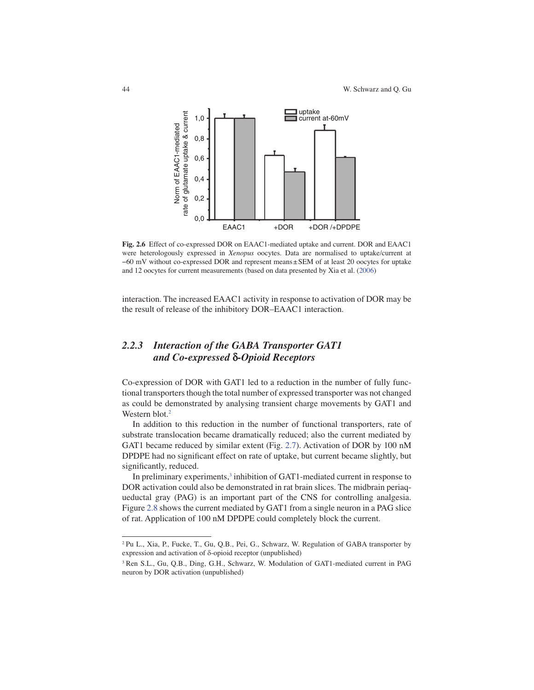

 **Fig. 2.6** Effect of co-expressed DOR on EAAC1-mediated uptake and current. DOR and EAAC1 were heterologously expressed in *Xenopus* oocytes. Data are normalised to uptake/current at −60 mV without co-expressed DOR and represent means ± SEM of at least 20 oocytes for uptake and 12 oocytes for current measurements (based on data presented by Xia et al. (2006)

interaction. The increased EAAC1 activity in response to activation of DOR may be the result of release of the inhibitory DOR–EAAC1 interaction.

# *2.2.3 Interaction of the GABA Transporter GAT1 and Co-expressed* **d** *-Opioid Receptors*

 Co-expression of DOR with GAT1 led to a reduction in the number of fully functional transporters though the total number of expressed transporter was not changed as could be demonstrated by analysing transient charge movements by GAT1 and Western blot. $2$ 

 In addition to this reduction in the number of functional transporters, rate of substrate translocation became dramatically reduced; also the current mediated by GAT1 became reduced by similar extent (Fig. 2.7). Activation of DOR by 100 nM DPDPE had no significant effect on rate of uptake, but current became slightly, but significantly, reduced.

In preliminary experiments,<sup>3</sup> inhibition of GAT1-mediated current in response to DOR activation could also be demonstrated in rat brain slices. The midbrain periaqueductal gray (PAG) is an important part of the CNS for controlling analgesia. Figure 2.8 shows the current mediated by GAT1 from a single neuron in a PAG slice of rat. Application of 100 nM DPDPE could completely block the current.

<sup>&</sup>lt;sup>2</sup>Pu L., Xia, P., Fucke, T., Gu, Q.B., Pei, G., Schwarz, W. Regulation of GABA transporter by expression and activation of  $\delta$ -opioid receptor (unpublished)

<sup>&</sup>lt;sup>3</sup> Ren S.L., Gu, Q.B., Ding, G.H., Schwarz, W. Modulation of GAT1-mediated current in PAG neuron by DOR activation (unpublished)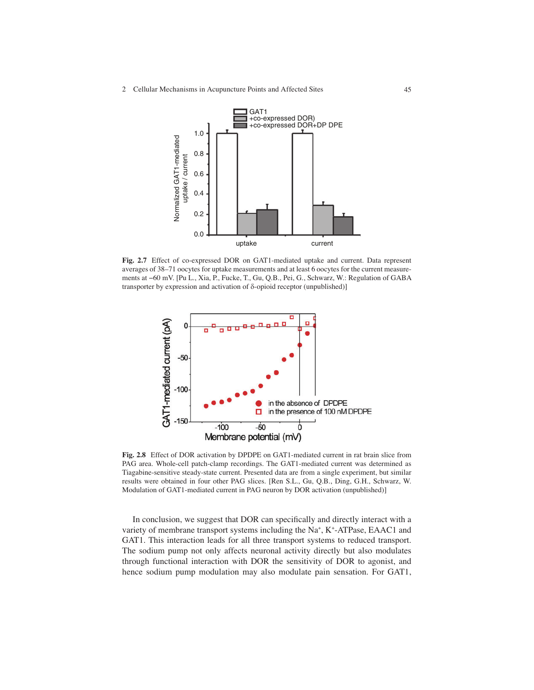

 **Fig. 2.7** Effect of co-expressed DOR on GAT1-mediated uptake and current. Data represent averages of 38–71 oocytes for uptake measurements and at least 6 oocytes for the current measurements at −60 mV. [Pu L., Xia, P., Fucke, T., Gu, Q.B., Pei, G., Schwarz, W.: Regulation of GABA transporter by expression and activation of  $\delta$ -opioid receptor (unpublished)]



 **Fig. 2.8** Effect of DOR activation by DPDPE on GAT1-mediated current in rat brain slice from PAG area. Whole-cell patch-clamp recordings. The GAT1-mediated current was determined as Tiagabine-sensitive steady-state current. Presented data are from a single experiment, but similar results were obtained in four other PAG slices. [Ren S.L., Gu, Q.B., Ding, G.H., Schwarz, W. Modulation of GAT1-mediated current in PAG neuron by DOR activation (unpublished)]

In conclusion, we suggest that DOR can specifically and directly interact with a variety of membrane transport systems including the Na<sup>+</sup>, K<sup>+</sup>-ATPase, EAAC1 and GAT1. This interaction leads for all three transport systems to reduced transport. The sodium pump not only affects neuronal activity directly but also modulates through functional interaction with DOR the sensitivity of DOR to agonist, and hence sodium pump modulation may also modulate pain sensation. For GAT1,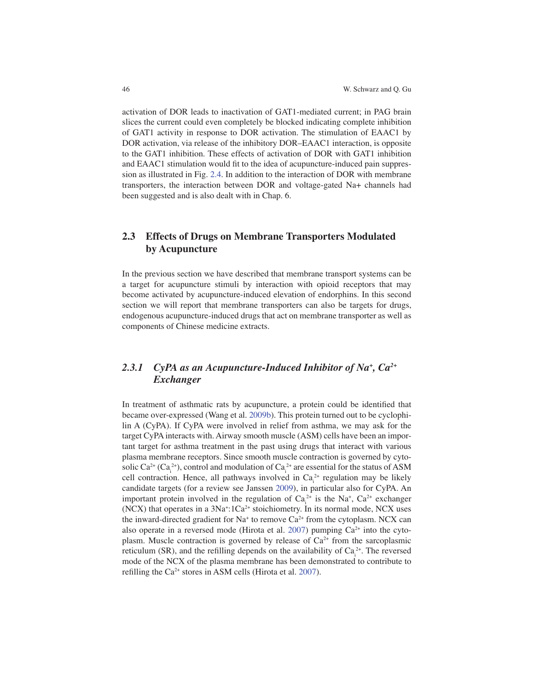activation of DOR leads to inactivation of GAT1-mediated current; in PAG brain slices the current could even completely be blocked indicating complete inhibition of GAT1 activity in response to DOR activation. The stimulation of EAAC1 by DOR activation, via release of the inhibitory DOR–EAAC1 interaction, is opposite to the GAT1 inhibition. These effects of activation of DOR with GAT1 inhibition and EAAC1 stimulation would fit to the idea of acupuncture-induced pain suppression as illustrated in Fig. 2.4 . In addition to the interaction of DOR with membrane transporters, the interaction between DOR and voltage-gated Na+ channels had been suggested and is also dealt with in Chap. 6.

## **2.3 Effects of Drugs on Membrane Transporters Modulated by Acupuncture**

 In the previous section we have described that membrane transport systems can be a target for acupuncture stimuli by interaction with opioid receptors that may become activated by acupuncture-induced elevation of endorphins. In this second section we will report that membrane transporters can also be targets for drugs, endogenous acupuncture-induced drugs that act on membrane transporter as well as components of Chinese medicine extracts.

## 2.3.1 CyPA as an Acupuncture-Induced Inhibitor of Na<sup>+</sup>, Ca<sup>2+</sup> *Exchanger*

In treatment of asthmatic rats by acupuncture, a protein could be identified that became over-expressed (Wang et al. 2009b). This protein turned out to be cyclophilin A (CyPA). If CyPA were involved in relief from asthma, we may ask for the target CyPA interacts with. Airway smooth muscle (ASM) cells have been an important target for asthma treatment in the past using drugs that interact with various plasma membrane receptors. Since smooth muscle contraction is governed by cytosolic Ca<sup>2+</sup> (Ca<sub>i</sub><sup>2+</sup>), control and modulation of Ca<sub>i</sub><sup>2+</sup> are essential for the status of ASM cell contraction. Hence, all pathways involved in  $Ca<sub>i</sub><sup>2+</sup>$  regulation may be likely candidate targets (for a review see Janssen 2009), in particular also for CyPA. An important protein involved in the regulation of  $Ca_i^{2+}$  is the Na<sup>+</sup>,  $Ca^{2+}$  exchanger  $(NCX)$  that operates in a  $3Na^{+}:1Ca^{2+}$  stoichiometry. In its normal mode, NCX uses the inward-directed gradient for Na<sup>+</sup> to remove  $Ca^{2+}$  from the cytoplasm. NCX can also operate in a reversed mode (Hirota et al. 2007) pumping  $Ca^{2+}$  into the cytoplasm. Muscle contraction is governed by release of  $Ca<sup>2+</sup>$  from the sarcoplasmic reticulum (SR), and the refilling depends on the availability of  $Ca_i^{2+}$ . The reversed mode of the NCX of the plasma membrane has been demonstrated to contribute to refilling the  $Ca^{2+}$  stores in ASM cells (Hirota et al. 2007).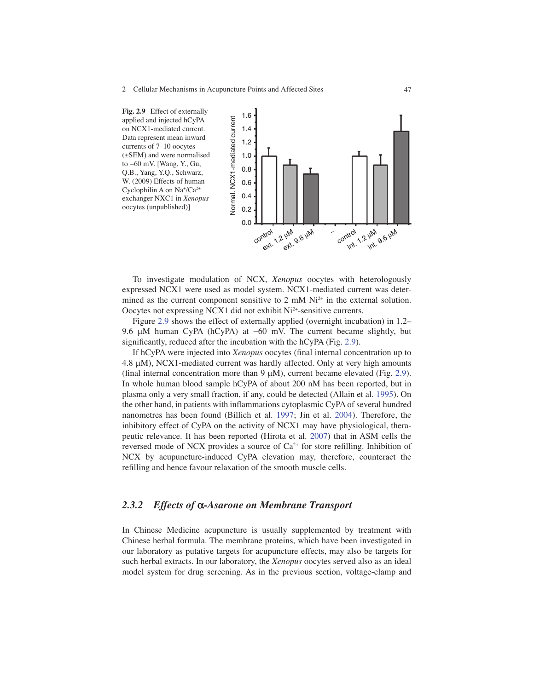

 To investigate modulation of NCX, *Xenopus* oocytes with heterologously expressed NCX1 were used as model system. NCX1-mediated current was determined as the current component sensitive to 2 mM  $Ni<sup>2+</sup>$  in the external solution. Oocytes not expressing NCX1 did not exhibit Ni<sup>2+</sup>-sensitive currents.

 Figure 2.9 shows the effect of externally applied (overnight incubation) in 1.2– 9.6 μM human CyPA (hCyPA) at −60 mV. The current became slightly, but significantly, reduced after the incubation with the  $hCyPA$  (Fig. 2.9).

If hCyPA were injected into *Xenopus* oocytes (final internal concentration up to 4.8  $\mu$ M), NCX1-mediated current was hardly affected. Only at very high amounts (final internal concentration more than  $9 \mu M$ ), current became elevated (Fig. 2.9). In whole human blood sample hCyPA of about 200 nM has been reported, but in plasma only a very small fraction, if any, could be detected (Allain et al. 1995 ) . On the other hand, in patients with inflammations cytoplasmic CyPA of several hundred nanometres has been found (Billich et al. 1997; Jin et al. 2004). Therefore, the inhibitory effect of CyPA on the activity of NCX1 may have physiological, therapeutic relevance. It has been reported (Hirota et al. 2007) that in ASM cells the reversed mode of NCX provides a source of Ca<sup>2+</sup> for store refilling. Inhibition of NCX by acupuncture-induced CyPA elevation may, therefore, counteract the refilling and hence favour relaxation of the smooth muscle cells.

### *2.3.2 Effects of* **a** *-Asarone on Membrane Transport*

 In Chinese Medicine acupuncture is usually supplemented by treatment with Chinese herbal formula. The membrane proteins, which have been investigated in our laboratory as putative targets for acupuncture effects, may also be targets for such herbal extracts. In our laboratory, the *Xenopus* oocytes served also as an ideal model system for drug screening. As in the previous section, voltage-clamp and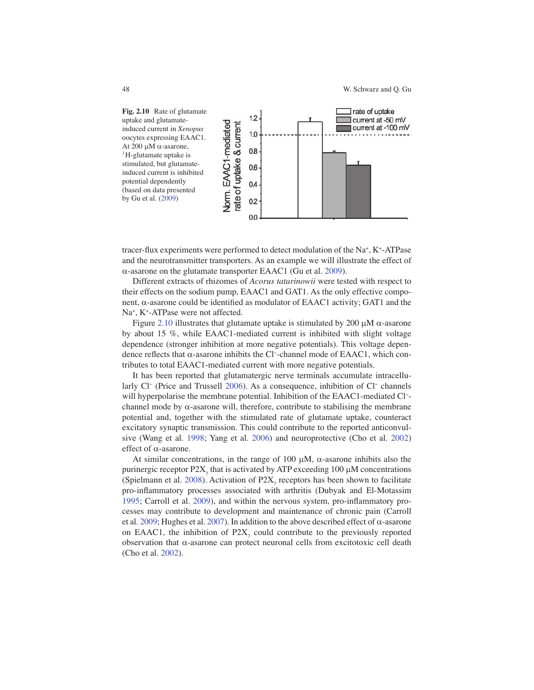

tracer-flux experiments were performed to detect modulation of the  $Na^+$ ,  $K^+$ -ATPase and the neurotransmitter transporters. As an example we will illustrate the effect of  $\alpha$ -asarone on the glutamate transporter EAAC1 (Gu et al. 2009).

 Different extracts of rhizomes of *Acorus tatarinowii* were tested with respect to their effects on the sodium pump, EAAC1 and GAT1. As the only effective component,  $\alpha$ -asarone could be identified as modulator of EAAC1 activity; GAT1 and the Na<sup>+</sup>, K<sup>+</sup>-ATPase were not affected.

Figure 2.10 illustrates that glutamate uptake is stimulated by 200  $\mu$ M  $\alpha$ -asarone by about 15 %, while EAAC1-mediated current is inhibited with slight voltage dependence (stronger inhibition at more negative potentials). This voltage dependence reflects that  $\alpha$ -asarone inhibits the Cl<sup>-</sup>-channel mode of EAAC1, which contributes to total EAAC1-mediated current with more negative potentials.

 It has been reported that glutamatergic nerve terminals accumulate intracellularly Cl<sup>-</sup> (Price and Trussell 2006). As a consequence, inhibition of Cl<sup>-</sup> channels will hyperpolarise the membrane potential. Inhibition of the EAAC1-mediated Cl<sup>-</sup>channel mode by  $\alpha$ -asarone will, therefore, contribute to stabilising the membrane potential and, together with the stimulated rate of glutamate uptake, counteract excitatory synaptic transmission. This could contribute to the reported anticonvulsive (Wang et al. 1998; Yang et al. 2006) and neuroprotective (Cho et al. 2002) effect of  $\alpha$ -asarone.

At similar concentrations, in the range of 100  $\mu$ M,  $\alpha$ -asarone inhibits also the purinergic receptor  $P2X_7$  that is activated by ATP exceeding 100  $\mu$ M concentrations (Spielmann et al. 2008). Activation of  $P2X_7$  receptors has been shown to facilitate pro-inflammatory processes associated with arthritis (Dubyak and El-Motassim 1995; Carroll et al. 2009), and within the nervous system, pro-inflammatory processes may contribute to development and maintenance of chronic pain (Carroll et al. 2009; Hughes et al. 2007). In addition to the above described effect of  $\alpha$ -asarone on EAAC1, the inhibition of  $P2X_7$  could contribute to the previously reported observation that  $\alpha$ -asarone can protect neuronal cells from excitotoxic cell death (Cho et al. 2002).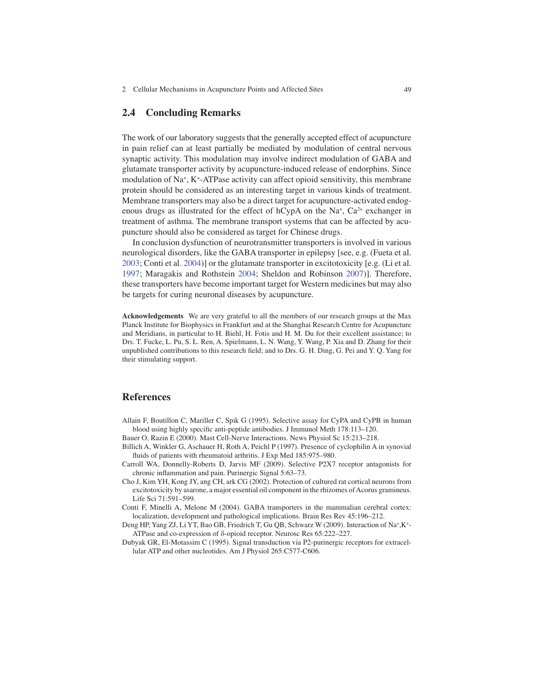#### **2.4 Concluding Remarks**

 The work of our laboratory suggests that the generally accepted effect of acupuncture in pain relief can at least partially be mediated by modulation of central nervous synaptic activity. This modulation may involve indirect modulation of GABA and glutamate transporter activity by acupuncture-induced release of endorphins. Since modulation of Na<sup>+</sup>, K<sup>+</sup>-ATPase activity can affect opioid sensitivity, this membrane protein should be considered as an interesting target in various kinds of treatment. Membrane transporters may also be a direct target for acupuncture-activated endogenous drugs as illustrated for the effect of  $hCypA$  on the Na<sup>+</sup>, Ca<sup>2+</sup> exchanger in treatment of asthma. The membrane transport systems that can be affected by acupuncture should also be considered as target for Chinese drugs.

 In conclusion dysfunction of neurotransmitter transporters is involved in various neurological disorders, like the GABA transporter in epilepsy [see, e.g. (Fueta et al. 2003; Conti et al. 2004)] or the glutamate transporter in excitotoxicity [e.g. (Li et al. 1997; Maragakis and Rothstein 2004; Sheldon and Robinson 2007)]. Therefore, these transporters have become important target for Western medicines but may also be targets for curing neuronal diseases by acupuncture.

 **Acknowledgements** We are very grateful to all the members of our research groups at the Max Planck Institute for Biophysics in Frankfurt and at the Shanghai Research Centre for Acupuncture and Meridians, in particular to H. Biehl, H. Fotis and H. M. Du for their excellent assistance; to Drs. T. Fucke, L. Pu, S. L. Ren, A. Spielmann, L. N. Wang, Y. Wang, P. Xia and D. Zhang for their unpublished contributions to this research field; and to Drs. G. H. Ding, G. Pei and Y. Q. Yang for their stimulating support.

#### **References**

- Allain F, Boutillon C, Mariller C, Spik G (1995). Selective assay for CyPA and CyPB in human blood using highly specific anti-peptide antibodies. J Immunol Meth 178:113-120.
- Bauer O, Razin E (2000). Mast Cell-Nerve Interactions. News Physiol Sc 15:213–218.
- Billich A, Winkler G, Aschauer H, Roth A, Peichl P (1997). Presence of cyclophilin A in synovial fluids of patients with rheumatoid arthritis. J Exp Med 185:975-980.
- Carroll WA, Donnelly-Roberts D, Jarvis MF (2009). Selective P2X7 receptor antagonists for chronic inflammation and pain. Purinergic Signal 5:63-73.
- Cho J, Kim YH, Kong JY, ang CH, ark CG (2002). Protection of cultured rat cortical neurons from excitotoxicity by asarone, a major essential oil component in the rhizomes of Acorus gramineus. Life Sci 71:591–599.
- Conti F, Minelli A, Melone M (2004). GABA transporters in the mammalian cerebral cortex: localization, development and pathological implications. Brain Res Rev 45:196–212.
- Deng HP, Yang ZJ, Li YT, Bao GB, Friedrich T, Gu QB, Schwarz W (2009). Interaction of Na<sup>+</sup>, K<sup>+</sup>-ATPase and co-expression of δ-opioid receptor. Neurosc Res 65:222–227.
- Dubyak GR, El-Motassim C (1995). Signal transduction via P2-purinergic receptors for extracellular ATP and other nucleotides. Am J Physiol 265:C577-C606.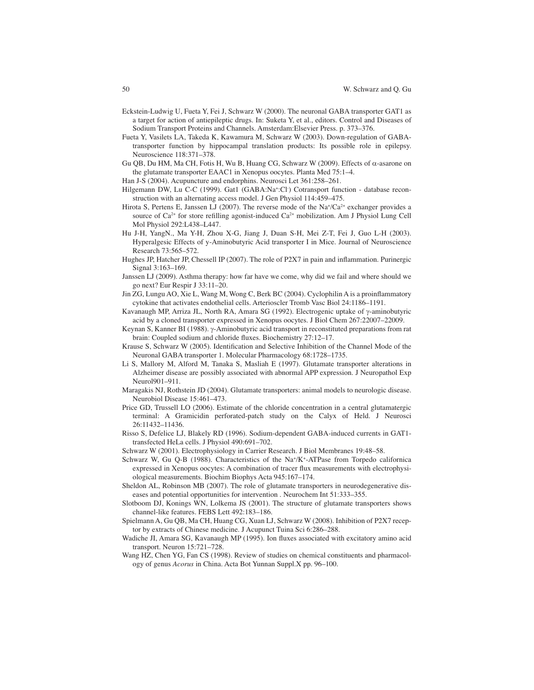- Eckstein-Ludwig U, Fueta Y, Fei J, Schwarz W (2000). The neuronal GABA transporter GAT1 as a target for action of antiepileptic drugs. In: Suketa Y, et al., editors. Control and Diseases of Sodium Transport Proteins and Channels. Amsterdam:Elsevier Press. p. 373–376.
- Fueta Y, Vasilets LA, Takeda K, Kawamura M, Schwarz W (2003). Down-regulation of GABAtransporter function by hippocampal translation products: Its possible role in epilepsy. Neuroscience 118:371–378.
- Gu QB, Du HM, Ma CH, Fotis H, Wu B, Huang CG, Schwarz W (2009). Effects of  $\alpha$ -asarone on the glutamate transporter EAAC1 in Xenopus oocytes. Planta Med 75:1–4.
- Han J-S (2004). Acupuncture and endorphins. Neurosci Let 361:258–261.
- Hilgemann DW, Lu C-C (1999). Gat1 (GABA:Na<sup>+</sup>:Cl<sup>-</sup>) Cotransport function database reconstruction with an alternating access model. J Gen Physiol 114:459–475.
- Hirota S, Pertens E, Janssen LJ (2007). The reverse mode of the  $\text{Na}^{\text{+}}/\text{Ca}^{\text{2+}}$  exchanger provides a source of  $Ca^{2+}$  for store refilling agonist-induced  $Ca^{2+}$  mobilization. Am J Physiol Lung Cell Mol Physiol 292:L438–L447.
- Hu J-H, YangN., Ma Y-H, Zhou X-G, Jiang J, Duan S-H, Mei Z-T, Fei J, Guo L-H (2003). Hyperalgesic Effects of y-Aminobutyric Acid transporter I in Mice. Journal of Neuroscience Research 73:565–572.
- Hughes JP, Hatcher JP, Chessell IP (2007). The role of P2X7 in pain and inflammation. Purinergic Signal 3:163–169.
- Janssen LJ (2009). Asthma therapy: how far have we come, why did we fail and where should we go next? Eur Respir J 33:11–20.
- Jin ZG, Lungu AO, Xie L, Wang M, Wong C, Berk BC (2004). Cyclophilin A is a proinflammatory cytokine that activates endothelial cells. Arterioscler Tromb Vasc Biol 24:1186–1191.
- Kavanaugh MP, Arriza JL, North RA, Amara SG (1992). Electrogenic uptake of  $\gamma$ -aminobutyric acid by a cloned transporter expressed in Xenopus oocytes. J Biol Chem 267:22007–22009.
- Keynan S, Kanner BI (1988).  $\gamma$ -Aminobutyric acid transport in reconstituted preparations from rat brain: Coupled sodium and chloride fluxes. Biochemistry 27:12-17.
- Krause S, Schwarz W (2005). Identification and Selective Inhibition of the Channel Mode of the Neuronal GABA transporter 1. Molecular Pharmacology 68:1728–1735.
- Li S, Mallory M, Alford M, Tanaka S, Masliah E (1997). Glutamate transporter alterations in Alzheimer disease are possibly associated with abnormal APP expression. J Neuropathol Exp Neurol901–911.
- Maragakis NJ, Rothstein JD (2004). Glutamate transporters: animal models to neurologic disease. Neurobiol Disease 15:461–473.
- Price GD, Trussell LO (2006). Estimate of the chloride concentration in a central glutamatergic terminal: A Gramicidin perforated-patch study on the Calyx of Held. J Neurosci 26:11432–11436.
- Risso S, Defelice LJ, Blakely RD (1996). Sodium-dependent GABA-induced currents in GAT1 transfected HeLa cells. J Physiol 490:691–702.
- Schwarz W (2001). Electrophysiology in Carrier Research. J Biol Membranes 19:48–58.
- Schwarz W, Gu Q-B (1988). Characteristics of the Na<sup>+</sup>/K<sup>+</sup>-ATPase from Torpedo californica expressed in Xenopus oocytes: A combination of tracer flux measurements with electrophysiological measurements. Biochim Biophys Acta 945:167–174.
- Sheldon AL, Robinson MB (2007). The role of glutamate transporters in neurodegenerative diseases and potential opportunities for intervention . Neurochem Int 51:333–355.
- Slotboom DJ, Konings WN, Lolkema JS (2001). The structure of glutamate transporters shows channel-like features. FEBS Lett 492:183–186.
- Spielmann A, Gu QB, Ma CH, Huang CG, Xuan LJ, Schwarz W (2008). Inhibition of P2X7 receptor by extracts of Chinese medicine. J Acupunct Tuina Sci 6:286–288.
- Wadiche JI, Amara SG, Kavanaugh MP (1995). Ion fluxes associated with excitatory amino acid transport. Neuron 15:721–728.
- Wang HZ, Chen YG, Fan CS (1998). Review of studies on chemical constituents and pharmacology of genus *Acorus* in China. Acta Bot Yunnan Suppl.X pp. 96–100.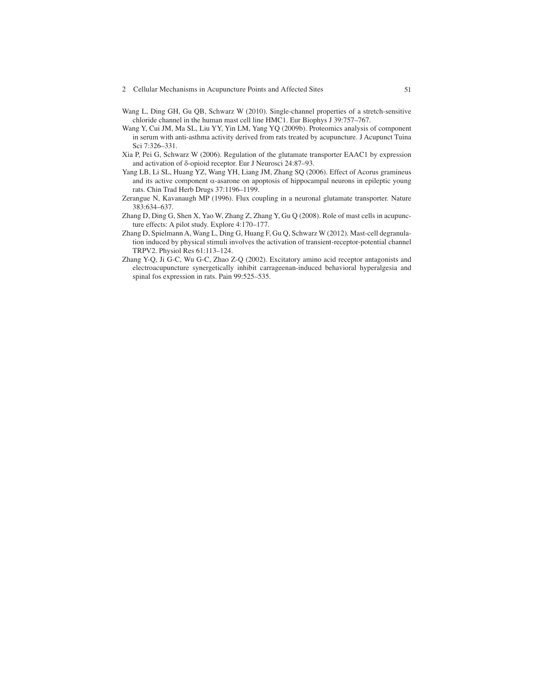- 2 Cellular Mechanisms in Acupuncture Points and Affected Sites 51
- Wang L, Ding GH, Gu QB, Schwarz W (2010). Single-channel properties of a stretch-sensitive chloride channel in the human mast cell line HMC1. Eur Biophys J 39:757–767.
- Wang Y, Cui JM, Ma SL, Liu YY, Yin LM, Yang YQ (2009b). Proteomics analysis of component in serum with anti-asthma activity derived from rats treated by acupuncture. J Acupunct Tuina Sci 7:326–331.
- Xia P, Pei G, Schwarz W (2006). Regulation of the glutamate transporter EAAC1 by expression and activation of  $\delta$ -opioid receptor. Eur J Neurosci 24:87-93.
- Yang LB, Li SL, Huang YZ, Wang YH, Liang JM, Zhang SQ (2006). Effect of Acorus gramineus and its active component  $\alpha$ -asarone on apoptosis of hippocampal neurons in epileptic young rats. Chin Trad Herb Drugs 37:1196–1199.
- Zerangue N, Kavanaugh MP (1996). Flux coupling in a neuronal glutamate transporter. Nature 383:634–637.
- Zhang D, Ding G, Shen X, Yao W, Zhang Z, Zhang Y, Gu Q (2008). Role of mast cells in acupuncture effects: A pilot study. Explore 4:170–177.
- Zhang D, Spielmann A, Wang L, Ding G, Huang F, Gu Q, Schwarz W (2012). Mast-cell degranulation induced by physical stimuli involves the activation of transient-receptor-potential channel TRPV2. Physiol Res 61:113–124.
- Zhang Y-Q, Ji G-C, Wu G-C, Zhao Z-Q (2002). Excitatory amino acid receptor antagonists and electroacupuncture synergetically inhibit carrageenan-induced behavioral hyperalgesia and spinal fos expression in rats. Pain 99:525–535.